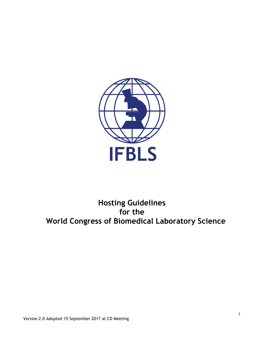

**Hosting Guidelines for the World Congress of Biomedical Laboratory Science**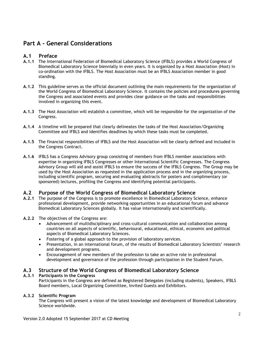# **Part A - General Considerations**

# **A.1 Preface**

- **A.1.1** The International Federation of Biomedical Laboratory Science (IFBLS) provides a World Congress of Biomedical Laboratory Science biennially in even years. It is organized by a Host Association (Host) in co-ordination with the IFBLS. The Host Association must be an IFBLS Association member in good standing.
- **A.1.2** This guideline serves as the official document outlining the main requirements for the organization of the World Congress of Biomedical Laboratory Science. It contains the policies and procedures governing the Congress and associated events and provides clear guidance on the tasks and responsibilities involved in organizing this event.
- **A.1.3** The Host Association will establish a committee, which will be responsible for the organization of the Congress.
- **A.1.4** A timeline will be prepared that clearly delineates the tasks of the Host Association/Organizing Committee and IFBLS and identifies deadlines by which these tasks must be completed.
- **A.1.5** The financial responsibilities of IFBLS and the Host Association will be clearly defined and included in the Congress Contract.
- **A.1.6** IFBLS has a Congress Advisory group consisting of members from IFBLS member associations with expertise in organizing IFBLS Congresses or other International Scientific Congresses. The Congress Advisory Group will aid and assist IFBLS to ensure the success of the IFBLS Congress. The Group may be used by the Host Association as requested in the application process and in the organizing process, including scientific program, securing and evaluating abstracts for posters and complimentary (or sponsored) lectures, profiling the Congress and identifying potential participants.

# **A.2 Purpose of the World Congress of Biomedical Laboratory Science**

- **A.2.1** The purpose of the Congress is to promote excellence in Biomedical Laboratory Science, enhance professional development, provide networking opportunities in an educational forum and advance Biomedical Laboratory Sciences globally. It has value internationally and scientifically.
- **A.2.2** The objectives of the Congress are:
	- Advancement of multidisciplinary and cross-cultural communication and collaboration among countries on all aspects of scientific, behavioural, educational, ethical, economic and political aspects of Biomedical Laboratory Sciences.
	- Fostering of a global approach to the provision of laboratory services.
	- Presentation, in an international forum, of the results of Biomedical Laboratory Scientists' research and development programs.
	- Encouragement of new members of the profession to take an active role in professional development and governance of the profession through participation in the Student Forum.

# **A.3 Structure of the World Congress of Biomedical Laboratory Science**

### **A.3.1 Participants in the Congress**

Participants in the Congress are defined as Registered Delegates (including students), Speakers, IFBLS Board members, Local Organizing Committee, Invited Guests and Exhibitors.

# **A.3.2 Scientific Program**

The Congress will present a vision of the latest knowledge and development of Biomedical Laboratory Science worldwide.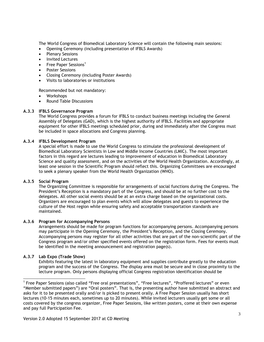The World Congress of Biomedical Laboratory Science will contain the following main sessions:

- Opening Ceremony (including presentation of IFBLS Awards)
- Plenary Sessions
- Invited Lectures
- Free Paper Sessions<sup>1</sup>
- Poster Sessions
- Closing Ceremony (including Poster Awards)
- Visits to laboratories or institutions

Recommended but not mandatory:

- Workshops
- Round Table Discussions

### **A.3.3 IFBLS Governance Program**

The World Congress provides a forum for IFBLS to conduct business meetings including the General Assembly of Delegates (GAD), which is the highest authority of IFBLS. Facilities and appropriate equipment for other IFBLS meetings scheduled prior, during and immediately after the Congress must be included in space allocations and Congress planning.

### **A.3.4 IFBLS Development Program**

A special effort is made to use the World Congress to stimulate the professional development of Biomedical Laboratory Scientists in Low and Middle Income Countries (LMIC). The most important factors in this regard are lectures leading to improvement of education in Biomedical Laboratory Science and quality assessment, and on the activities of the World Health Organization. Accordingly, at least one session in the Scientific Program should reflect this. Organizing Committees are encouraged to seek a plenary speaker from the World Health Organization (WHO).

### **A.3.5 Social Program**

The Organizing Committee is responsible for arrangements of social functions during the Congress. The President's Reception is a mandatory part of the Congress, and should be at no further cost to the delegates. All other social events should be at an extra charge based on the organizational costs. Organizers are encouraged to plan events which will allow delegates and guests to experience the culture of the Host region while ensuring safety and acceptable transportation standards are maintained.

### **A.3.6 Program for Accompanying Persons**

Arrangements should be made for program functions for accompanying persons. Accompanying persons may participate in the Opening Ceremony, the President's Reception, and the Closing Ceremony. Accompanying persons may register for all other activities that are part of the non-scientific part of the Congress program and/or other specified events offered on the registration form. Fees for events must be identified in the meeting announcement and registration page(s).

### **A.3.7 Lab Expo (Trade Show)**

Exhibits featuring the latest in laboratory equipment and supplies contribute greatly to the education program and the success of the Congress. The display area must be secure and in close proximity to the lecture program. Only persons displaying official Congress registration identification should be

 $\overline{\phantom{a}}$ <sup>1</sup> Free Paper Sessions (also called "Free oral presentations", "Free lectures", "Proffered lectures" or even "Member submitted papers") are "Oral posters". That is, the presenting author have submitted an abstract and asks for it to be presented orally and/or is picked to present orally. A Free Paper Session usually has short lectures (10-15 minutes each, sometimes up to 20 minutes). While invited lecturers usually get some or all costs covered by the congress organizer, Free Paper Sessions, like written posters, come at their own expense and pay full Participation Fee.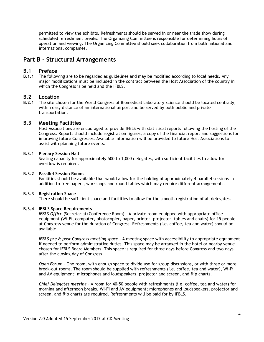permitted to view the exhibits. Refreshments should be served in or near the trade show during scheduled refreshment breaks. The Organizing Committee is responsible for determining hours of operation and viewing. The Organizing Committee should seek collaboration from both national and international companies.

# **Part B - Structural Arrangements**

## **B.1 Preface**

**B.1.1** The following are to be regarded as guidelines and may be modified according to local needs. Any major modifications must be included in the contract between the Host Association of the country in which the Congress is be held and the IFBLS.

# **B.2 Location**

**B.2.1** The site chosen for the World Congress of Biomedical Laboratory Science should be located centrally, within easy distance of an international airport and be served by both public and private transportation.

## **B.3 Meeting Facilities**

Host Associations are encouraged to provide IFBLS with statistical reports following the hosting of the Congress. Reports should include registration figures, a copy of the financial report and suggestions for improving future Congresses. Available information will be provided to future Host Associations to assist with planning future events.

### **B.3.1 Plenary Session Hall**

Seating capacity for approximately 500 to 1,000 delegates, with sufficient facilities to allow for overflow is required.

### **B.3.2 Parallel Session Rooms**

Facilities should be available that would allow for the holding of approximately 4 parallel sessions in addition to free papers, workshops and round tables which may require different arrangements.

### **B.3.3 Registration Space**

There should be sufficient space and facilities to allow for the smooth registration of all delegates.

### **B.3.4 IFBLS Space Requirements**

*IFBLS Office* (Secretariat/Conference Room) - A private room equipped with appropriate office equipment (Wi-Fi, computer, photocopier, paper, printer, projector, tables and chairs) for 15 people at Congress venue for the duration of Congress. Refreshments (i.e. coffee, tea and water) should be available.

*IFBLS pre & post Congress meeting space* - A meeting space with accessibility to appropriate equipment if needed to perform administrative duties. This space may be arranged in the hotel or nearby venue chosen for IFBLS Board Members. This space is required for three days before Congress and two days after the closing day of Congress.

*Open Forum* – One room, with enough space to divide use for group discussions, or with three or more break-out rooms. The room should be supplied with refreshments (i.e. coffee, tea and water), Wi-Fi and AV equipment; microphones and loudspeakers, projector and screen, and flip charts.

*Chief Delegates meeting* – A room for 40-50 people with refreshments (i.e. coffee, tea and water) for morning and afternoon breaks. Wi-Fi and AV equipment; microphones and loudspeakers, projector and screen, and flip charts are required. Refreshments will be paid for by IFBLS.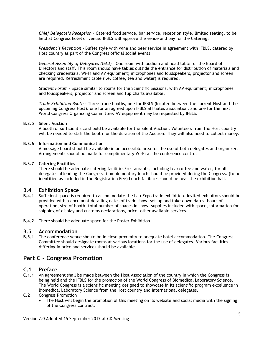*Chief Delegate's Reception* – Catered food service, bar service, reception style, limited seating, to be held at Congress hotel or venue. IFBLS will approve the venue and pay for the Catering.

*President's Reception* - Buffet style with wine and beer service in agreement with IFBLS, catered by Host country as part of the Congress official social events.

*General Assembly of Delegates (GAD)* – One room with podium and head table for the Board of Directors and staff. This room should have tables outside the entrance for distribution of materials and checking credentials. Wi-Fi and AV equipment; microphones and loudspeakers, projector and screen are required. Refreshment table (i.e. coffee, tea and water) is required.

*Student Forum* – Space similar to rooms for the Scientific Sessions, with AV equipment; microphones and loudspeakers, projector and screen and flip charts available.

*Trade Exhibition Booth* - Three trade booths, one for IFBLS (located between the current Host and the upcoming Congress Host): one for an agreed upon IFBLS affiliates association; and one for the next World Congress Organizing Committee. AV equipment may be requested by IFBLS.

### **B.3.5 Silent Auction**

A booth of sufficient size should be available for the Silent Auction. Volunteers from the Host country will be needed to staff the booth for the duration of the Auction. They will also need to collect money.

### **B.3.6 Information and Communication**

A message board should be available in an accessible area for the use of both delegates and organizers. Arrangements should be made for complimentary Wi-Fi at the conference centre.

### **B.3.7 Catering Facilities**

There should be adequate catering facilities/restaurants, including tea/coffee and water, for all delegates attending the Congress. Complementary lunch should be provided during the Congress. (to be identified as included in the Registration Fee) Lunch facilities should be near the exhibition hall.

## **B.4 Exhibition Space**

- **B.4.1** Sufficient space is required to accommodate the Lab Expo trade exhibition. Invited exhibitors should be provided with a document detailing dates of trade show, set-up and take-down dates, hours of operation, size of booth, total number of spaces in show, supplies included with space, information for shipping of display and customs declarations, price, other available services.
- **B.4.2** There should be adequate space for the Poster Exhibition

### **B.5 Accommodation**

**B.5.1** The conference venue should be in close proximity to adequate hotel accommodation. The Congress Committee should designate rooms at various locations for the use of delegates. Various facilities differing in price and services should be available.

# **Part C - Congress Promotion**

## **C.1 Preface**

**C.1.1** An agreement shall be made between the Host Association of the country in which the Congress is being held and the IFBLS for the promotion of the World Congress of Biomedical Laboratory Science. The World Congress is a scientific meeting designed to showcase in its scientific program excellence in Biomedical Laboratory Science from the Host country and international delegates.

## **C.2** Congress Promotion

 The Host will begin the promotion of this meeting on its website and social media with the signing of the Congress contract.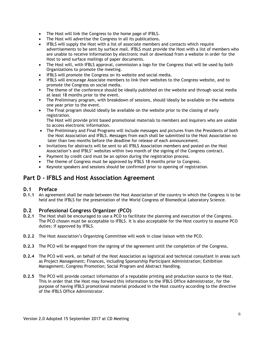- The Host will link the Congress to the home page of IFBLS.
- The Host will advertise the Congress in all its publications.
- IFBLS will supply the Host with a list of associate members and contacts which require advertisements to be sent by surface mail. IFBLS must provide the Host with a list of members who are unable to receive information by electronic mail or download from a website in order for the Host to send surface mailings of paper documents.
- The Host will, with IFBLS approval, commission a logo for the Congress that will be used by both Organizations to promote the meeting.
- IFBLS will promote the Congress on its website and social media.
- **IFBLS will encourage Associate members to link their websites to the Congress website, and to** promote the Congress on social media.
- The theme of the conference should be ideally published on the website and through social media at least 18 months prior to the event.
- The Preliminary program, with breakdown of sessions, should ideally be available on the website one year prior to the event.
- The Final program should ideally be available on the website prior to the closing of early registration.

The Host will provide print based promotional materials to members and inquirers who are unable to access electronic information.

- The Preliminary and Final Programs will include messages and pictures from the Presidents of both the Host Association and IFBLS. Messages from each shall be submitted to the Host Association no later than two months before the deadline for release of each announcement.
- Invitations for abstracts will be sent to all IFBLS Association members and posted on the Host Association's and IFBLS' websites within two month of the signing of the Congress contract.
- Payment by credit card must be an option during the registration process.
- The theme of Congress must be approved by IFBLS 18 months prior to Congress.
- Keynote speakers and sessions should be confirmed prior to opening of registration.

# **Part D - IFBLS and Host Association Agreement**

# **D.1 Preface**

**D.1.1** An agreement shall be made between the Host Association of the country in which the Congress is to be held and the IFBLS for the presentation of the World Congress of Biomedical Laboratory Science.

# **D.2 Professional Congress Organizer (PCO)**

- **D.2.1** The Host shall be encouraged to use a PCO to facilitate the planning and execution of the Congress. The PCO chosen must be acceptable to IFBLS. It is also acceptable for the Host country to assume PCO duties; if approved by IFBLS.
- **D.2.2** The Host Association's Organizing Committee will work in close liaison with the PCO.
- **D.2.3** The PCO will be engaged from the signing of the agreement until the completion of the Congress.
- **D.2.4** The PCO will work, on behalf of the Host Association as logistical and technical consultant in areas such as Project Management; Finances, including Sponsorship Participant Administration; Exhibition Management; Congress Promotion; Social Program and Abstract Handling.
- **D.2.5** The PCO will provide contact information of a reputable printing and production source to the Host. This in order that the Host may forward this information to the IFBLS Office Administrator, for the purpose of having IFBLS promotional material produced in the Host country according to the directive of the IFBLS Office Administrator.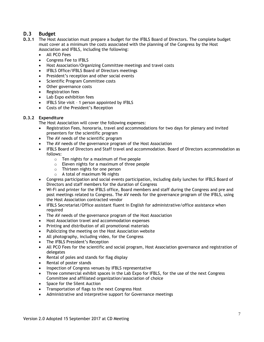# **D.3 Budget**

- **D.3.1** The Host Association must prepare a budget for the IFBLS Board of Directors. The complete budget must cover at a minimum the costs associated with the planning of the Congress by the Host Association and IFBLS, including the following:
	- All PCO Fees
	- Congress Fee to IFBLS
	- Host Association/Organizing Committee meetings and travel costs
	- IFBLS Office/IFBLS Board of Directors meetings
	- President's reception and other social events
	- Scientific Program Committee costs
	- Other governance costs
	- Registration fees
	- Lab Expo exhibition fees
	- IFBLS Site visit 1 person appointed by IFBLS
	- Costs of the President's Reception

## **D.3.2 Expenditure**

The Host Association will cover the following expenses:

- Registration Fees, honoraria, travel and accommodations for two days for plenary and invited presenters for the scientific program
- The AV needs of the scientific program
- The AV needs of the governance program of the Host Association
- IFBLS Board of Directors and Staff travel and accommodation. Board of Directors accommodation as follows:
	- o Ten nights for a maximum of five people
	- o Eleven nights for a maximum of three people
	- o Thirteen nights for one person
	- o A total of maximum 96 nights
- Congress participation and social events participation, including daily lunches for IFBLS Board of Directors and staff members for the duration of Congress
- Wi-Fi and printer for the IFBLS office, Board members and staff during the Congress and pre and post meetings related to Congress. The AV needs for the governance program of the IFBLS, using the Host Association contracted vendor
- IFBLS Secretariat/Office assistant fluent in English for administrative/office assistance when required
- The AV needs of the governance program of the Host Association
- Host Association travel and accommodation expenses
- Printing and distribution of all promotional materials
- Publicizing the meeting on the Host Association website
- All photography, including video, for the Congress
- The IFBLS President's Reception
- All PCO Fees for the scientific and social program, Host Association governance and registration of delegates
- Rental of poles and stands for flag display
- Rental of poster stands
- Inspection of Congress venues by IFBLS representative
- Three commercial exhibit spaces in the Lab Expo for IFBLS, for the use of the next Congress Committee and affiliated organization/association of choice
- Space for the Silent Auction
- Transportation of flags to the next Congress Host
- Administrative and interpretive support for Governance meetings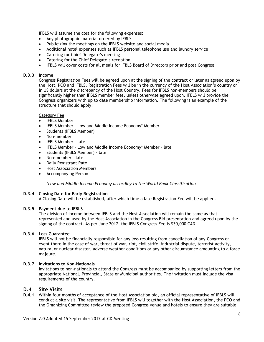IFBLS will assume the cost for the following expenses:

- Any photographic material ordered by IFBLS
- Publicizing the meetings on the IFBLS website and social media
- Additional hotel expenses such as IFBLS personal telephone use and laundry service
- Catering for Chief Delegate's meeting
- Catering for the Chief Delegate's reception
- IFBLS will cover costs for all meals for IFBLS Board of Directors prior and post Congress

## **D.3.3 Income**

Congress Registration Fees will be agreed upon at the signing of the contract or later as agreed upon by the Host, PCO and IFBLS. Registration Fees will be in the currency of the Host Association's country or in US dollars at the discrepancy of the Host Country. Fees for IFBLS non-members should be significantly higher than IFBLS member fees, unless otherwise agreed upon. IFBLS will provide the Congress organizers with up to date membership information. The following is an example of the structure that should apply:

## Category Fee

- IFBLS Member
- IFBLS Member Low and Middle Income Economy\* Member
- Students (IFBLS Member)
- Non-member
- IFBLS Member late
- IFBLS Member Low and Middle Income Economy\* Member late
- Students (IFBLS Member) late
- Non-member late
- Daily Registrant Rate
- Host Association Members
- Accompanying Person

*\*Low and Middle Income Economy according to the World Bank Classification*

### **D.3.4 Closing Date for Early Registration**

A Closing Date will be established, after which time a late Registration Fee will be applied.

### **D.3.5 Payment due to IFBLS**

The division of income between IFBLS and the Host Association will remain the same as that represented and used by the Host Association in the Congress Bid presentation and agreed upon by the signing of the contract. As per June 2017, the IFBLS Congress Fee is \$30,000 CAD.

### **D.3.6 Loss Guarantee**

IFBLS will not be financially responsible for any loss resulting from cancellation of any Congress or event there in the case of war, threat of war, riot, civil strife, industrial dispute, terrorist activity, natural or nuclear disaster, adverse weather conditions or any other circumstance amounting to a force majeure.

### **D.3.7 Invitations to Non-Nationals**

Invitations to non-nationals to attend the Congress must be accompanied by supporting letters from the appropriate National, Provincial, State or Municipal authorities. The invitation must include the visa requirements of the country.

## **D.4 Site Visits**

**D.4.1** Within four months of acceptance of the Host Association bid, an official representative of IFBLS will conduct a site visit. The representative from IFBLS will together with the Host Association, the PCO and the Organizing Committee review the proposed Congress venue and hotels to ensure they are suitable.